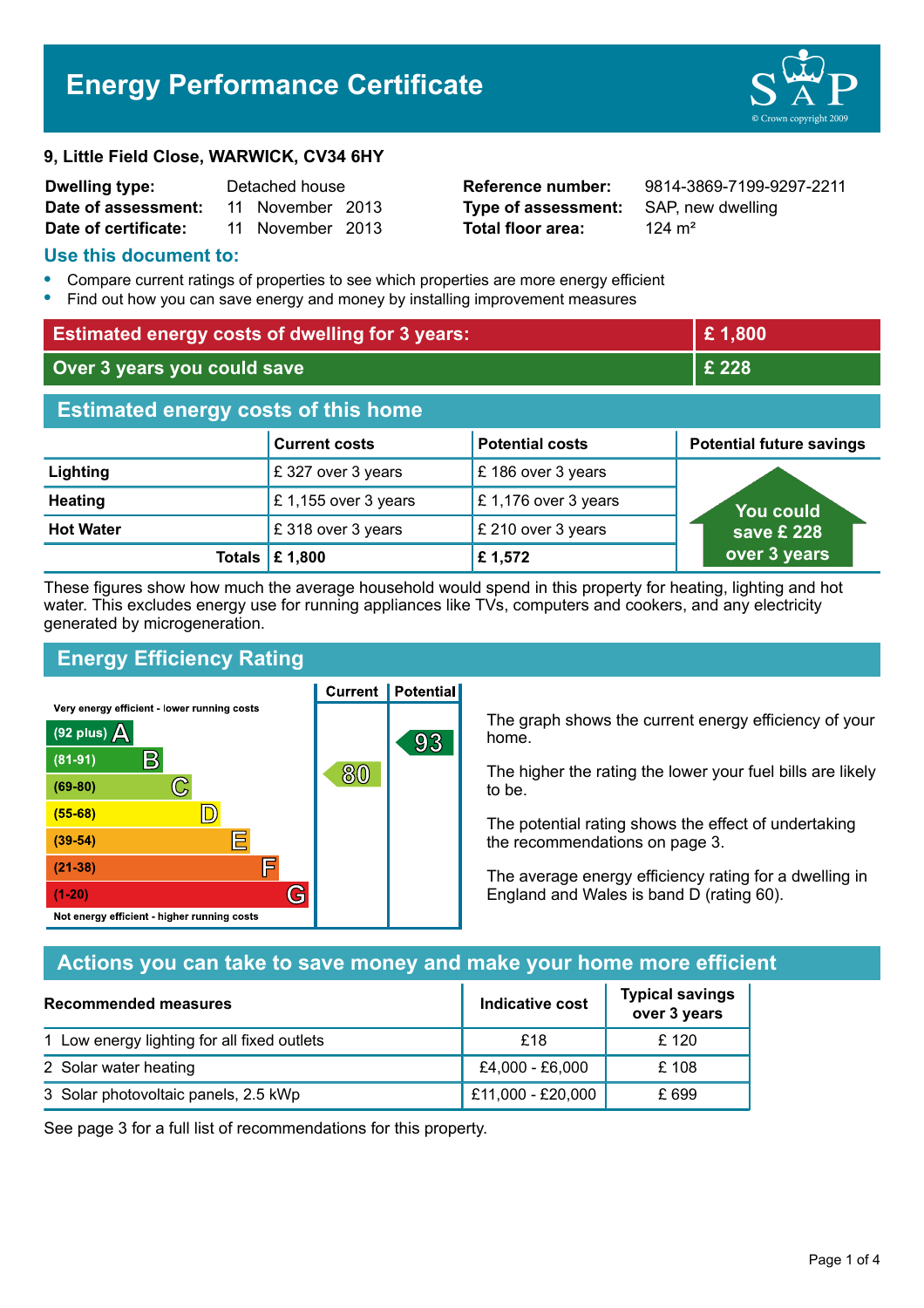# **Energy Performance Certificate**

#### **9, Little Field Close, WARWICK, CV34 6HY**

| <b>Dwelling type:</b> | Detached house |                  |  |
|-----------------------|----------------|------------------|--|
| Date of assessment:   |                | 11 November 2013 |  |
| Date of certificate:  |                | 11 November 2013 |  |

**Type of assessment:** SAP, new dwelling **Total floor area:** 124 m<sup>2</sup>

**Reference number:** 9814-3869-7199-9297-2211

#### **Use this document to:**

- **•** Compare current ratings of properties to see which properties are more energy efficient
- **•** Find out how you can save energy and money by installing improvement measures

| <b>Estimated energy costs of dwelling for 3 years:</b> |                           | £1,800                 |                                 |
|--------------------------------------------------------|---------------------------|------------------------|---------------------------------|
| Over 3 years you could save                            |                           |                        | £ 228                           |
| <b>Estimated energy costs of this home</b>             |                           |                        |                                 |
|                                                        | <b>Current costs</b>      | <b>Potential costs</b> | <b>Potential future savings</b> |
| Lighting                                               | £327 over 3 years         | £186 over 3 years      |                                 |
| <b>Heating</b>                                         | £ 1,155 over 3 years      | £1,176 over 3 years    | <b>You could</b>                |
| <b>Hot Water</b>                                       | £318 over 3 years         | £ 210 over 3 years     | save £ 228                      |
|                                                        | Totals $\mathsf{E}$ 1,800 | £1,572                 | over 3 years                    |

These figures show how much the average household would spend in this property for heating, lighting and hot water. This excludes energy use for running appliances like TVs, computers and cookers, and any electricity generated by microgeneration.

**Current | Potential** 

## **Energy Efficiency Rating**

Very energy efficient - lower running costs



The graph shows the current energy efficiency of your home.

The higher the rating the lower your fuel bills are likely to be.

The potential rating shows the effect of undertaking the recommendations on page 3.

The average energy efficiency rating for a dwelling in England and Wales is band D (rating 60).

## **Actions you can take to save money and make your home more efficient**

| Recommended measures                        | Indicative cost   | <b>Typical savings</b><br>over 3 years |
|---------------------------------------------|-------------------|----------------------------------------|
| 1 Low energy lighting for all fixed outlets | £18               | £ 120                                  |
| 2 Solar water heating                       | £4,000 - £6,000   | £108                                   |
| 3 Solar photovoltaic panels, 2.5 kWp        | £11,000 - £20,000 | £ 699                                  |

See page 3 for a full list of recommendations for this property.

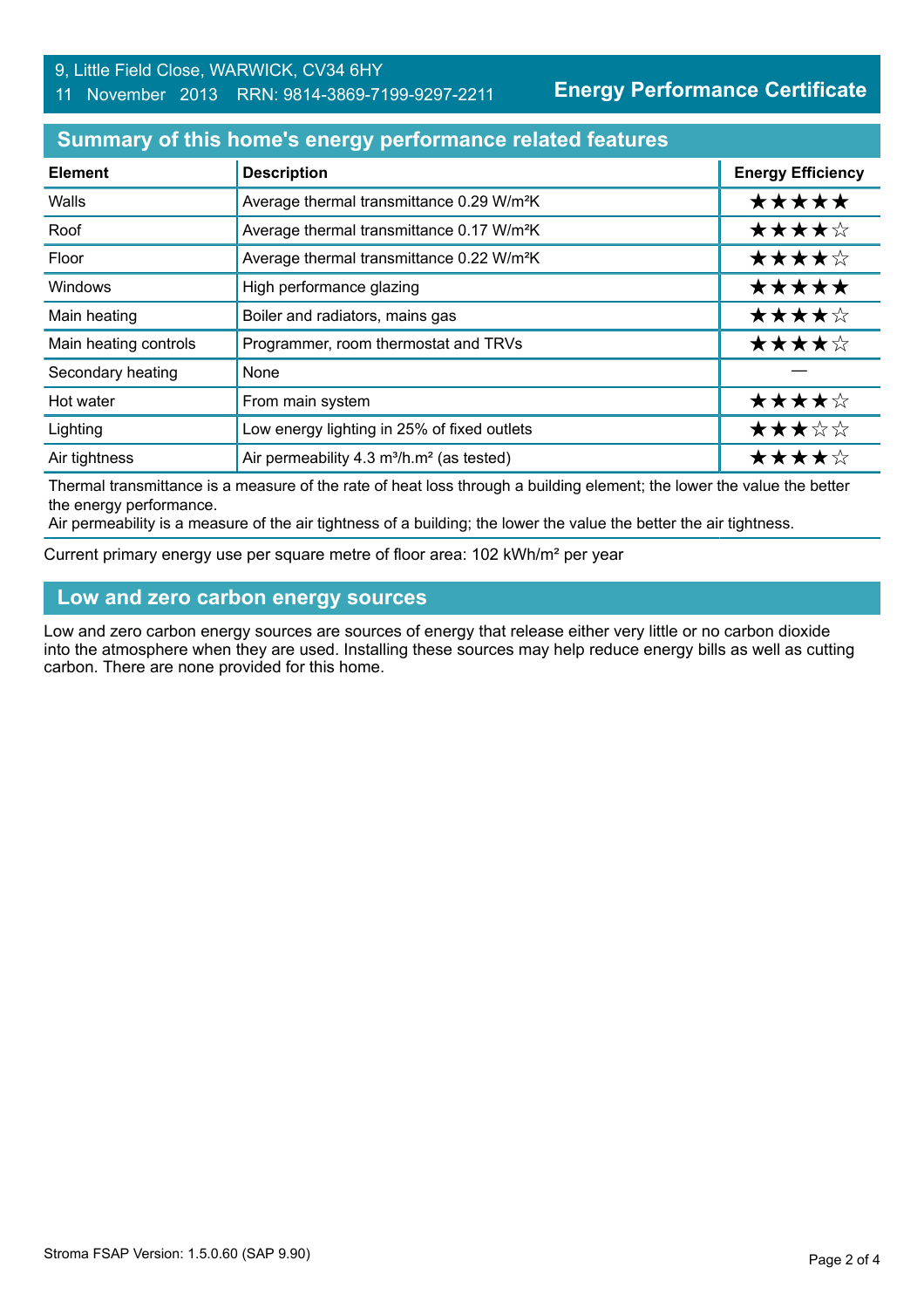#### 9, Little Field Close, WARWICK, CV34 6HY

### 11 November 2013 RRN: 9814-3869-7199-9297-2211

**Energy Performance Certificate**

## **Summary of this home's energy performance related features**

| <b>Element</b>        | <b>Description</b>                                                | <b>Energy Efficiency</b> |
|-----------------------|-------------------------------------------------------------------|--------------------------|
| Walls                 | Average thermal transmittance 0.29 W/m <sup>2</sup> K             | *****                    |
| Roof                  | Average thermal transmittance 0.17 W/m <sup>2</sup> K             | ★★★★☆                    |
| Floor                 | Average thermal transmittance 0.22 W/m <sup>2</sup> K             | ★★★★☆                    |
| Windows               | High performance glazing                                          | *****                    |
| Main heating          | Boiler and radiators, mains gas                                   | ★★★★☆                    |
| Main heating controls | Programmer, room thermostat and TRVs                              | ★★★★☆                    |
| Secondary heating     | None                                                              |                          |
| Hot water             | From main system                                                  | ★★★★☆                    |
| Lighting              | Low energy lighting in 25% of fixed outlets                       | ★★★☆☆                    |
| Air tightness         | Air permeability 4.3 m <sup>3</sup> /h.m <sup>2</sup> (as tested) | ★★★★☆                    |

Thermal transmittance is a measure of the rate of heat loss through a building element; the lower the value the better the energy performance.

Air permeability is a measure of the air tightness of a building; the lower the value the better the air tightness.

Current primary energy use per square metre of floor area: 102 kWh/m² per year

## **Low and zero carbon energy sources**

Low and zero carbon energy sources are sources of energy that release either very little or no carbon dioxide into the atmosphere when they are used. Installing these sources may help reduce energy bills as well as cutting carbon. There are none provided for this home.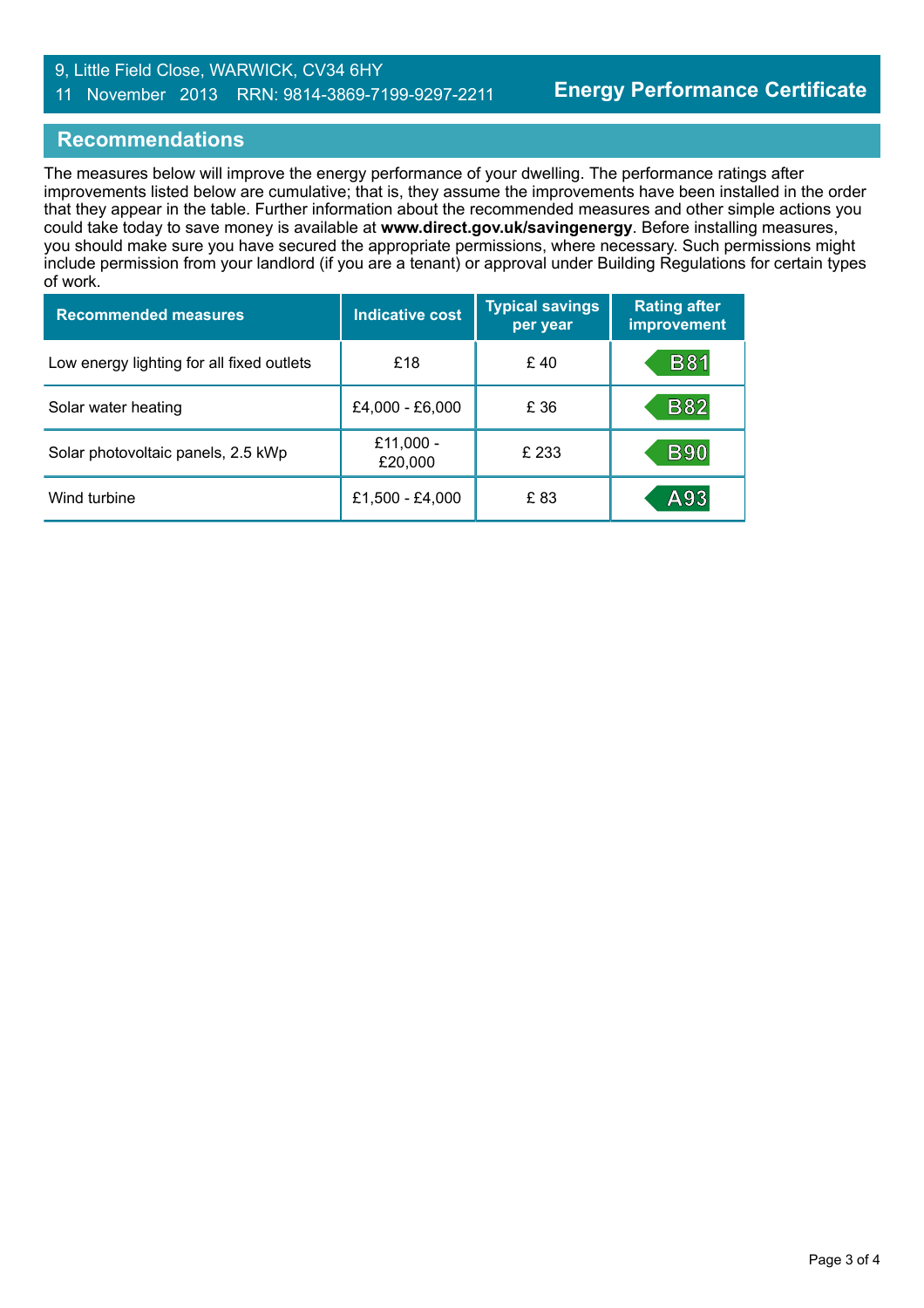### 9, Little Field Close, WARWICK, CV34 6HY 11 November 2013 RRN: 9814-3869-7199-9297-2211

## **Recommendations**

The measures below will improve the energy performance of your dwelling. The performance ratings after improvements listed below are cumulative; that is, they assume the improvements have been installed in the order that they appear in the table. Further information about the recommended measures and other simple actions you could take today to save money is available at **www.direct.gov.uk/savingenergy**. Before installing measures, you should make sure you have secured the appropriate permissions, where necessary. Such permissions might include permission from your landlord (if you are a tenant) or approval under Building Regulations for certain types of work.

| <b>Recommended measures</b>               | <b>Indicative cost</b> | <b>Typical savings</b><br>per year | <b>Rating after</b><br>improvement |
|-------------------------------------------|------------------------|------------------------------------|------------------------------------|
| Low energy lighting for all fixed outlets | £18                    | £40                                | <b>B81</b>                         |
| Solar water heating                       | £4,000 - £6,000        | £ 36                               | <b>B82</b>                         |
| Solar photovoltaic panels, 2.5 kWp        | £11,000 -<br>£20,000   | £ 233                              | <b>B90</b>                         |
| Wind turbine                              | £1,500 - £4,000        | £ 83                               | A93                                |